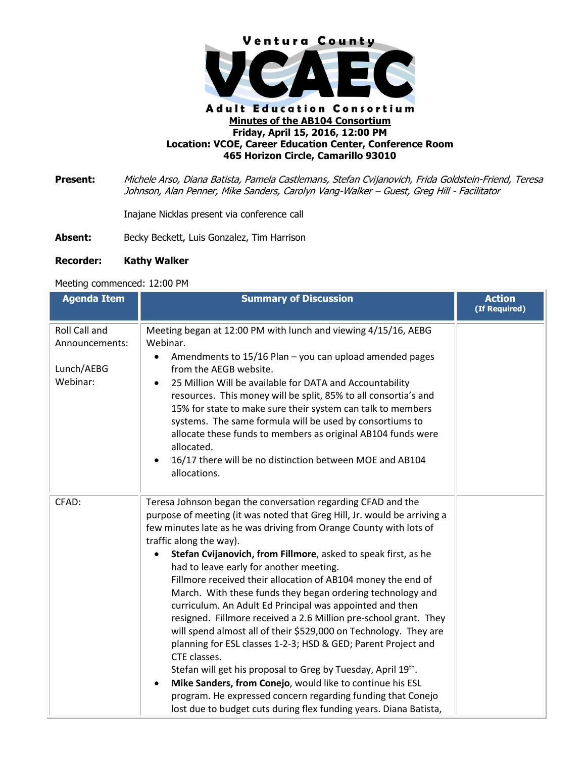

## **Adult Education Consortium Minutes of the AB104 Consortium Friday, April 15, 2016, 12:00 PM Location: VCOE, Career Education Center, Conference Room 465 Horizon Circle, Camarillo 93010**

**Present:** Michele Arso, Diana Batista, Pamela Castlemans, Stefan Cvijanovich, Frida Goldstein-Friend, Teresa Johnson, Alan Penner, Mike Sanders, Carolyn Vang-Walker – Guest, Greg Hill - Facilitator

Inajane Nicklas present via conference call

Absent: Becky Beckett, Luis Gonzalez, Tim Harrison

## **Recorder: Kathy Walker**

## Meeting commenced: 12:00 PM

| <b>Agenda Item</b>                                        | <b>Summary of Discussion</b>                                                                                                                                                                                                                                                                                                                                                                                                                                                                                                                                                                                                                                                                                                                                                                                                                                                                                                                                                                                                                    | <b>Action</b><br>(If Required) |
|-----------------------------------------------------------|-------------------------------------------------------------------------------------------------------------------------------------------------------------------------------------------------------------------------------------------------------------------------------------------------------------------------------------------------------------------------------------------------------------------------------------------------------------------------------------------------------------------------------------------------------------------------------------------------------------------------------------------------------------------------------------------------------------------------------------------------------------------------------------------------------------------------------------------------------------------------------------------------------------------------------------------------------------------------------------------------------------------------------------------------|--------------------------------|
| Roll Call and<br>Announcements:<br>Lunch/AEBG<br>Webinar: | Meeting began at 12:00 PM with lunch and viewing 4/15/16, AEBG<br>Webinar.<br>Amendments to 15/16 Plan - you can upload amended pages<br>$\bullet$<br>from the AEGB website.<br>25 Million Will be available for DATA and Accountability<br>resources. This money will be split, 85% to all consortia's and<br>15% for state to make sure their system can talk to members<br>systems. The same formula will be used by consortiums to<br>allocate these funds to members as original AB104 funds were<br>allocated.<br>16/17 there will be no distinction between MOE and AB104<br>allocations.                                                                                                                                                                                                                                                                                                                                                                                                                                                |                                |
| CFAD:                                                     | Teresa Johnson began the conversation regarding CFAD and the<br>purpose of meeting (it was noted that Greg Hill, Jr. would be arriving a<br>few minutes late as he was driving from Orange County with lots of<br>traffic along the way).<br>Stefan Cvijanovich, from Fillmore, asked to speak first, as he<br>had to leave early for another meeting.<br>Fillmore received their allocation of AB104 money the end of<br>March. With these funds they began ordering technology and<br>curriculum. An Adult Ed Principal was appointed and then<br>resigned. Fillmore received a 2.6 Million pre-school grant. They<br>will spend almost all of their \$529,000 on Technology. They are<br>planning for ESL classes 1-2-3; HSD & GED; Parent Project and<br>CTE classes.<br>Stefan will get his proposal to Greg by Tuesday, April 19th.<br>Mike Sanders, from Conejo, would like to continue his ESL<br>٠<br>program. He expressed concern regarding funding that Conejo<br>lost due to budget cuts during flex funding years. Diana Batista, |                                |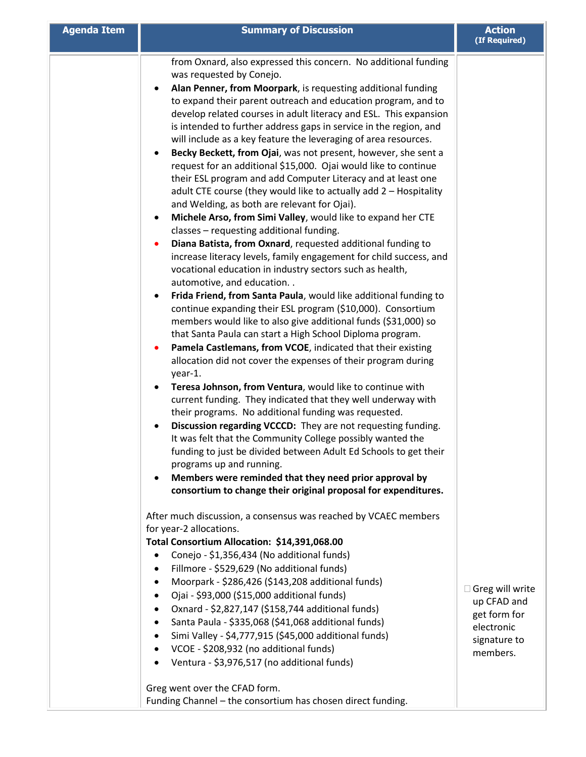| <b>Agenda Item</b> | <b>Summary of Discussion</b>                                                                                                                                                                                                                                                                                                                                                                                                                                                                                                                                                                                                                                                                                                                                                                                                                                                                                                                                                                                                                                                                                                                                                                                                                                                                                                                                                                                                                                                                                                                                                                                                                                                                                                                                                                                                                                                                                                                                                                                                                                                      | <b>Action</b><br>(If Required)                                                           |
|--------------------|-----------------------------------------------------------------------------------------------------------------------------------------------------------------------------------------------------------------------------------------------------------------------------------------------------------------------------------------------------------------------------------------------------------------------------------------------------------------------------------------------------------------------------------------------------------------------------------------------------------------------------------------------------------------------------------------------------------------------------------------------------------------------------------------------------------------------------------------------------------------------------------------------------------------------------------------------------------------------------------------------------------------------------------------------------------------------------------------------------------------------------------------------------------------------------------------------------------------------------------------------------------------------------------------------------------------------------------------------------------------------------------------------------------------------------------------------------------------------------------------------------------------------------------------------------------------------------------------------------------------------------------------------------------------------------------------------------------------------------------------------------------------------------------------------------------------------------------------------------------------------------------------------------------------------------------------------------------------------------------------------------------------------------------------------------------------------------------|------------------------------------------------------------------------------------------|
|                    | from Oxnard, also expressed this concern. No additional funding<br>was requested by Conejo.<br>Alan Penner, from Moorpark, is requesting additional funding<br>to expand their parent outreach and education program, and to<br>develop related courses in adult literacy and ESL. This expansion<br>is intended to further address gaps in service in the region, and<br>will include as a key feature the leveraging of area resources.<br>Becky Beckett, from Ojai, was not present, however, she sent a<br>request for an additional \$15,000. Ojai would like to continue<br>their ESL program and add Computer Literacy and at least one<br>adult CTE course (they would like to actually add 2 - Hospitality<br>and Welding, as both are relevant for Ojai).<br>Michele Arso, from Simi Valley, would like to expand her CTE<br>classes - requesting additional funding.<br>Diana Batista, from Oxnard, requested additional funding to<br>increase literacy levels, family engagement for child success, and<br>vocational education in industry sectors such as health,<br>automotive, and education. .<br>Frida Friend, from Santa Paula, would like additional funding to<br>continue expanding their ESL program (\$10,000). Consortium<br>members would like to also give additional funds (\$31,000) so<br>that Santa Paula can start a High School Diploma program.<br>Pamela Castlemans, from VCOE, indicated that their existing<br>allocation did not cover the expenses of their program during<br>year-1.<br>Teresa Johnson, from Ventura, would like to continue with<br>current funding. They indicated that they well underway with<br>their programs. No additional funding was requested.<br>Discussion regarding VCCCD: They are not requesting funding.<br>It was felt that the Community College possibly wanted the<br>funding to just be divided between Adult Ed Schools to get their<br>programs up and running.<br>Members were reminded that they need prior approval by<br>٠<br>consortium to change their original proposal for expenditures. |                                                                                          |
|                    | After much discussion, a consensus was reached by VCAEC members<br>for year-2 allocations.<br>Total Consortium Allocation: \$14,391,068.00<br>Conejo - \$1,356,434 (No additional funds)<br>Fillmore - \$529,629 (No additional funds)<br>$\bullet$<br>Moorpark - \$286,426 (\$143,208 additional funds)<br>$\bullet$<br>Ojai - \$93,000 (\$15,000 additional funds)<br>$\bullet$<br>Oxnard - \$2,827,147 (\$158,744 additional funds)<br>٠<br>Santa Paula - \$335,068 (\$41,068 additional funds)<br>$\bullet$<br>Simi Valley - \$4,777,915 (\$45,000 additional funds)<br>$\bullet$<br>VCOE - \$208,932 (no additional funds)<br>٠<br>Ventura - \$3,976,517 (no additional funds)<br>$\bullet$<br>Greg went over the CFAD form.<br>Funding Channel - the consortium has chosen direct funding.                                                                                                                                                                                                                                                                                                                                                                                                                                                                                                                                                                                                                                                                                                                                                                                                                                                                                                                                                                                                                                                                                                                                                                                                                                                                                  | Greg will write<br>up CFAD and<br>get form for<br>electronic<br>signature to<br>members. |